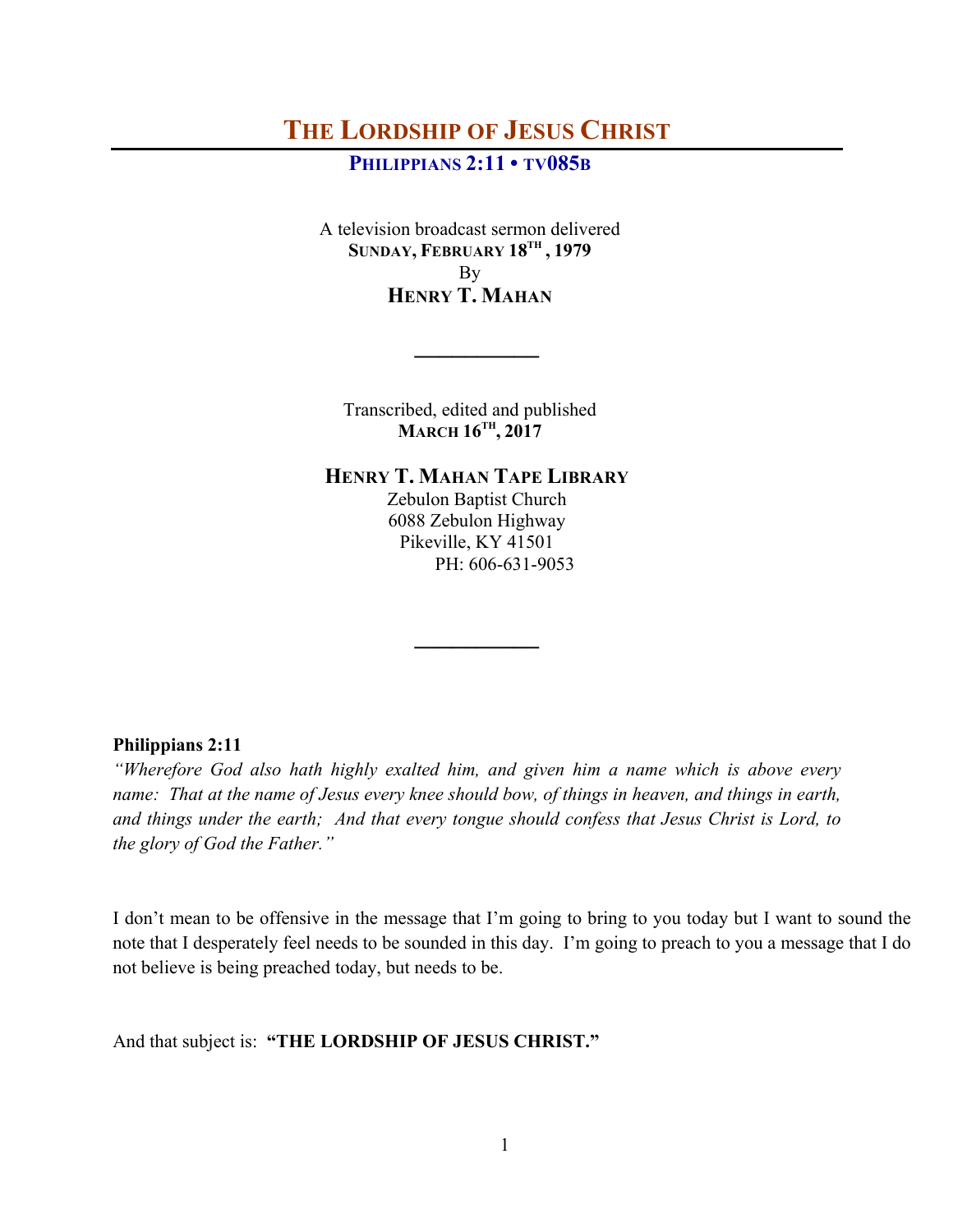# **THE LORDSHIP OF JESUS CHRIST**

# **PHILIPPIANS 2:11 • TV085B**

A television broadcast sermon delivered **SUNDAY, FEBRUARY 18TH , 1979** By **HENRY T. MAHAN**

Transcribed, edited and published **MARCH 16TH, 2017**

**\_\_\_\_\_\_\_\_\_\_**

# **HENRY T. MAHAN TAPE LIBRARY**

Zebulon Baptist Church 6088 Zebulon Highway Pikeville, KY 41501 PH: 606-631-9053

**\_\_\_\_\_\_\_\_\_\_**

#### **Philippians 2:11**

*"Wherefore God also hath highly exalted him, and given him a name which is above every name: That at the name of Jesus every knee should bow, of things in heaven, and things in earth, and things under the earth; And that every tongue should confess that Jesus Christ is Lord, to the glory of God the Father."*

I don't mean to be offensive in the message that I'm going to bring to you today but I want to sound the note that I desperately feel needs to be sounded in this day. I'm going to preach to you a message that I do not believe is being preached today, but needs to be.

And that subject is: **"THE LORDSHIP OF JESUS CHRIST."**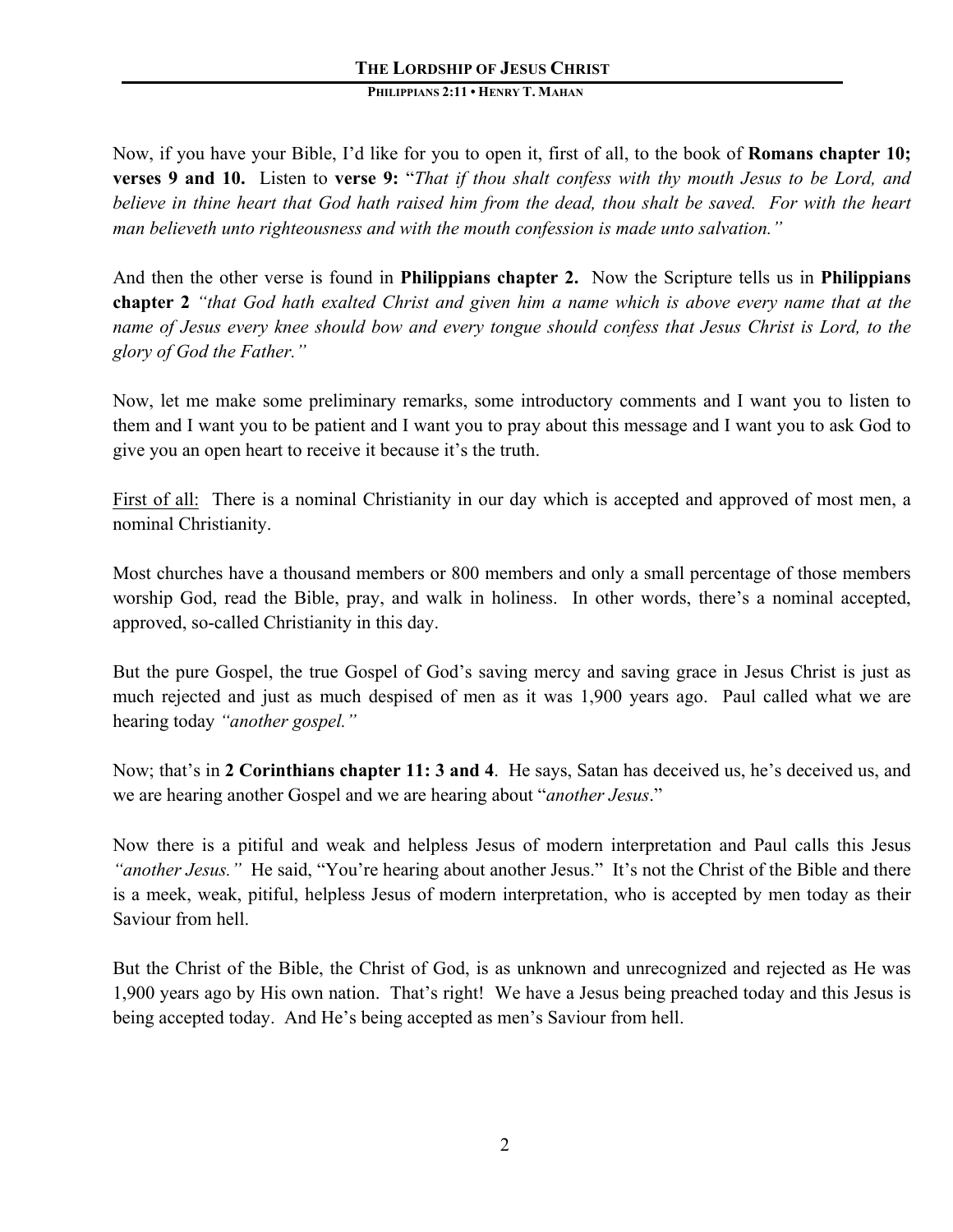Now, if you have your Bible, I'd like for you to open it, first of all, to the book of **Romans chapter 10; verses 9 and 10.** Listen to **verse 9:** "*That if thou shalt confess with thy mouth Jesus to be Lord, and believe in thine heart that God hath raised him from the dead, thou shalt be saved. For with the heart man believeth unto righteousness and with the mouth confession is made unto salvation."* 

And then the other verse is found in **Philippians chapter 2.** Now the Scripture tells us in **Philippians chapter 2** *"that God hath exalted Christ and given him a name which is above every name that at the name of Jesus every knee should bow and every tongue should confess that Jesus Christ is Lord, to the glory of God the Father."*

Now, let me make some preliminary remarks, some introductory comments and I want you to listen to them and I want you to be patient and I want you to pray about this message and I want you to ask God to give you an open heart to receive it because it's the truth.

First of all: There is a nominal Christianity in our day which is accepted and approved of most men, a nominal Christianity.

Most churches have a thousand members or 800 members and only a small percentage of those members worship God, read the Bible, pray, and walk in holiness. In other words, there's a nominal accepted, approved, so-called Christianity in this day.

But the pure Gospel, the true Gospel of God's saving mercy and saving grace in Jesus Christ is just as much rejected and just as much despised of men as it was 1,900 years ago. Paul called what we are hearing today *"another gospel."*

Now; that's in **2 Corinthians chapter 11: 3 and 4**. He says, Satan has deceived us, he's deceived us, and we are hearing another Gospel and we are hearing about "*another Jesus*."

Now there is a pitiful and weak and helpless Jesus of modern interpretation and Paul calls this Jesus *"another Jesus."* He said, "You're hearing about another Jesus."It's not the Christ of the Bible and there is a meek, weak, pitiful, helpless Jesus of modern interpretation, who is accepted by men today as their Saviour from hell.

But the Christ of the Bible, the Christ of God, is as unknown and unrecognized and rejected as He was 1,900 years ago by His own nation. That's right! We have a Jesus being preached today and this Jesus is being accepted today. And He's being accepted as men's Saviour from hell.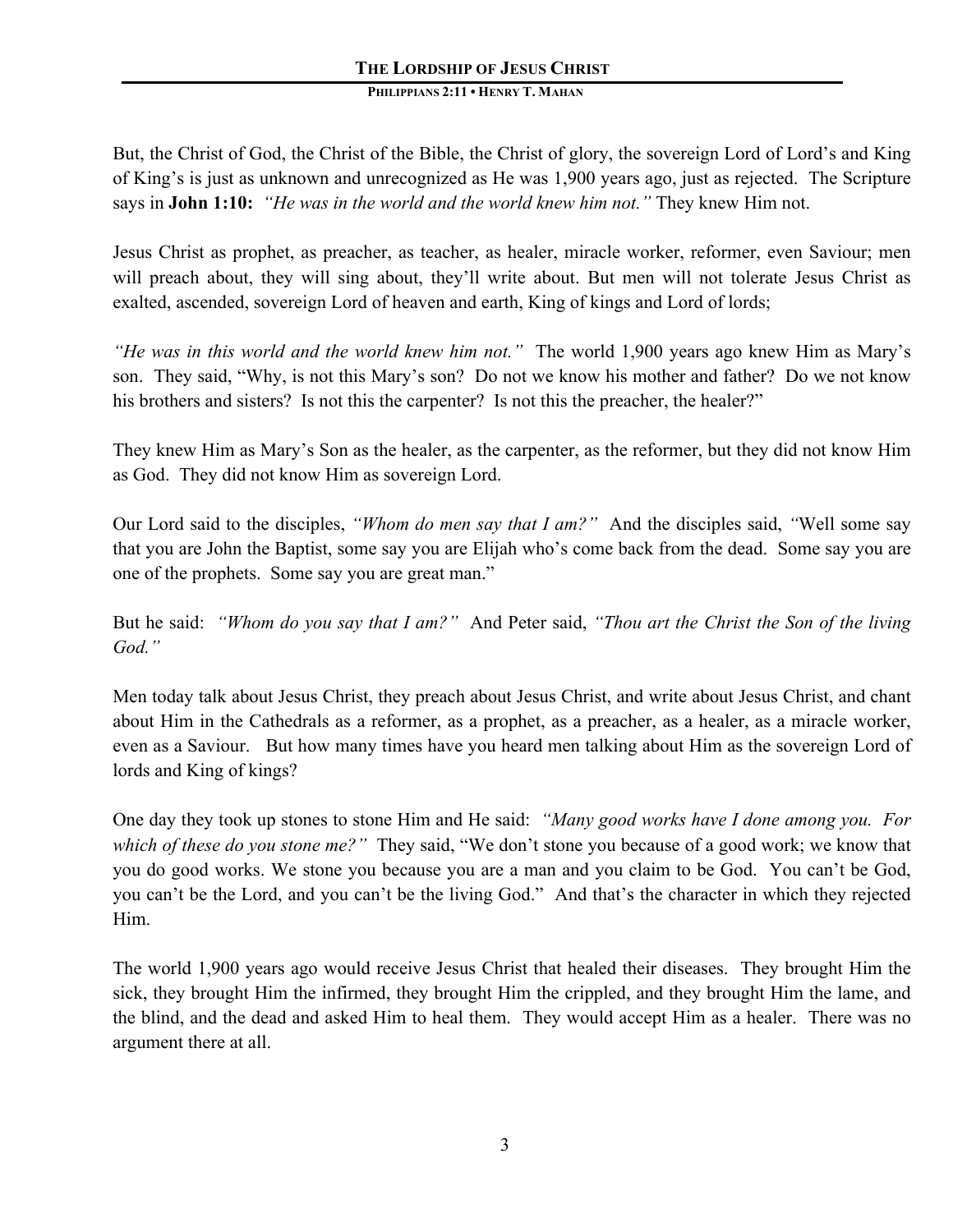But, the Christ of God, the Christ of the Bible, the Christ of glory, the sovereign Lord of Lord's and King of King's is just as unknown and unrecognized as He was 1,900 years ago, just as rejected. The Scripture says in **John 1:10:** *"He was in the world and the world knew him not."* They knew Him not.

Jesus Christ as prophet, as preacher, as teacher, as healer, miracle worker, reformer, even Saviour; men will preach about, they will sing about, they'll write about. But men will not tolerate Jesus Christ as exalted, ascended, sovereign Lord of heaven and earth, King of kings and Lord of lords;

*"He was in this world and the world knew him not."* The world 1,900 years ago knew Him as Mary's son. They said, "Why, is not this Mary's son? Do not we know his mother and father? Do we not know his brothers and sisters? Is not this the carpenter? Is not this the preacher, the healer?"

They knew Him as Mary's Son as the healer, as the carpenter, as the reformer, but they did not know Him as God. They did not know Him as sovereign Lord.

Our Lord said to the disciples, *"Whom do men say that I am?"* And the disciples said, *"*Well some say that you are John the Baptist, some say you are Elijah who's come back from the dead. Some say you are one of the prophets. Some say you are great man."

But he said: *"Whom do you say that I am?"* And Peter said, *"Thou art the Christ the Son of the living God."* 

Men today talk about Jesus Christ, they preach about Jesus Christ, and write about Jesus Christ, and chant about Him in the Cathedrals as a reformer, as a prophet, as a preacher, as a healer, as a miracle worker, even as a Saviour. But how many times have you heard men talking about Him as the sovereign Lord of lords and King of kings?

One day they took up stones to stone Him and He said: *"Many good works have I done among you. For which of these do you stone me?"* They said, "We don't stone you because of a good work; we know that you do good works. We stone you because you are a man and you claim to be God. You can't be God, you can't be the Lord, and you can't be the living God." And that's the character in which they rejected Him.

The world 1,900 years ago would receive Jesus Christ that healed their diseases. They brought Him the sick, they brought Him the infirmed, they brought Him the crippled, and they brought Him the lame, and the blind, and the dead and asked Him to heal them. They would accept Him as a healer. There was no argument there at all.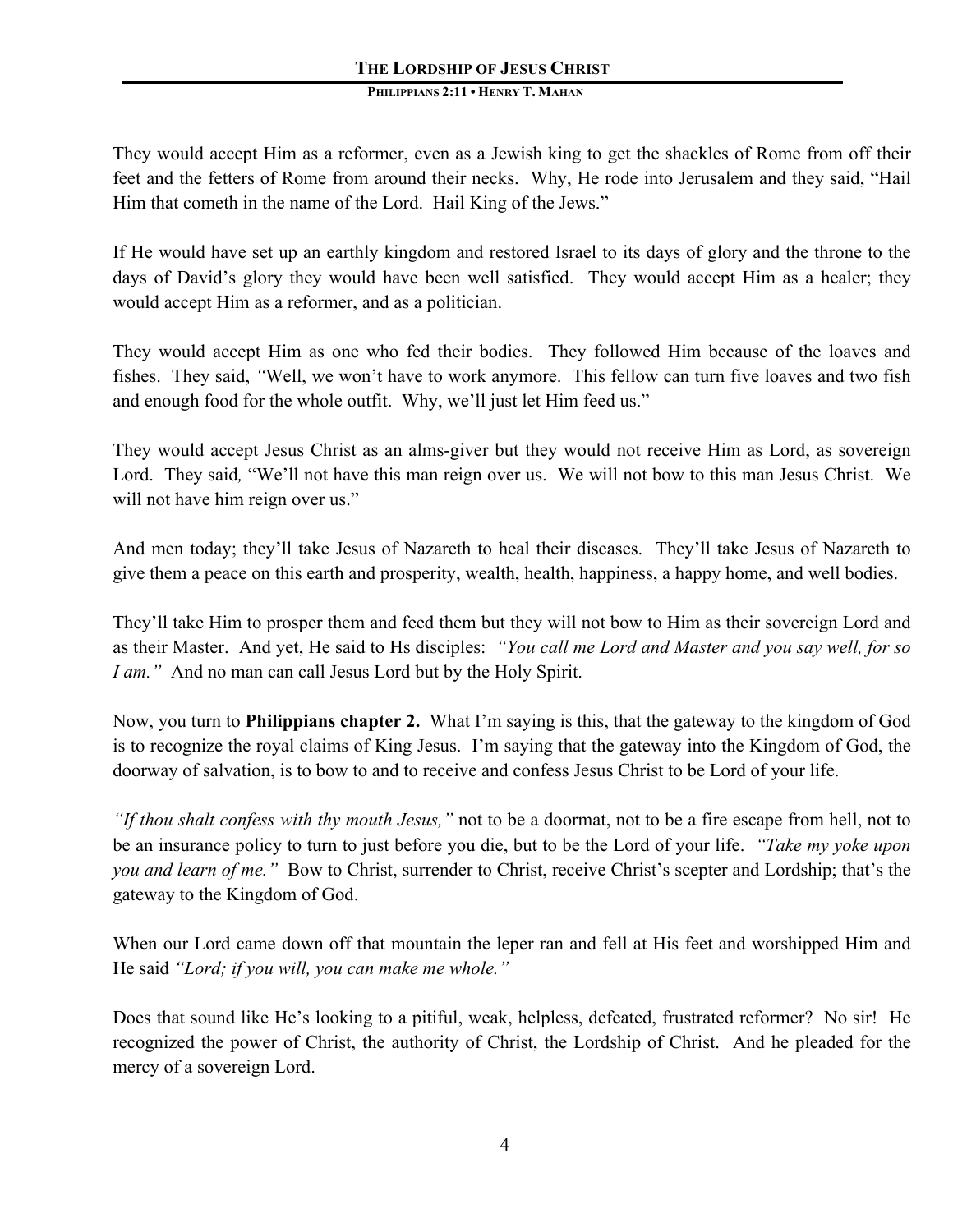They would accept Him as a reformer, even as a Jewish king to get the shackles of Rome from off their feet and the fetters of Rome from around their necks. Why, He rode into Jerusalem and they said, "Hail Him that cometh in the name of the Lord. Hail King of the Jews."

If He would have set up an earthly kingdom and restored Israel to its days of glory and the throne to the days of David's glory they would have been well satisfied. They would accept Him as a healer; they would accept Him as a reformer, and as a politician.

They would accept Him as one who fed their bodies. They followed Him because of the loaves and fishes. They said, *"*Well, we won't have to work anymore. This fellow can turn five loaves and two fish and enough food for the whole outfit. Why, we'll just let Him feed us."

They would accept Jesus Christ as an alms-giver but they would not receive Him as Lord, as sovereign Lord. They said, "We'll not have this man reign over us. We will not bow to this man Jesus Christ. We will not have him reign over us."

And men today; they'll take Jesus of Nazareth to heal their diseases. They'll take Jesus of Nazareth to give them a peace on this earth and prosperity, wealth, health, happiness, a happy home, and well bodies.

They'll take Him to prosper them and feed them but they will not bow to Him as their sovereign Lord and as their Master. And yet, He said to Hs disciples: *"You call me Lord and Master and you say well, for so I am.*" And no man can call Jesus Lord but by the Holy Spirit.

Now, you turn to **Philippians chapter 2.** What I'm saying is this, that the gateway to the kingdom of God is to recognize the royal claims of King Jesus. I'm saying that the gateway into the Kingdom of God, the doorway of salvation, is to bow to and to receive and confess Jesus Christ to be Lord of your life.

*"If thou shalt confess with thy mouth Jesus,"* not to be a doormat, not to be a fire escape from hell, not to be an insurance policy to turn to just before you die, but to be the Lord of your life. *"Take my yoke upon you and learn of me."* Bow to Christ, surrender to Christ, receive Christ's scepter and Lordship; that's the gateway to the Kingdom of God.

When our Lord came down off that mountain the leper ran and fell at His feet and worshipped Him and He said *"Lord; if you will, you can make me whole."*

Does that sound like He's looking to a pitiful, weak, helpless, defeated, frustrated reformer? No sir! He recognized the power of Christ, the authority of Christ, the Lordship of Christ. And he pleaded for the mercy of a sovereign Lord.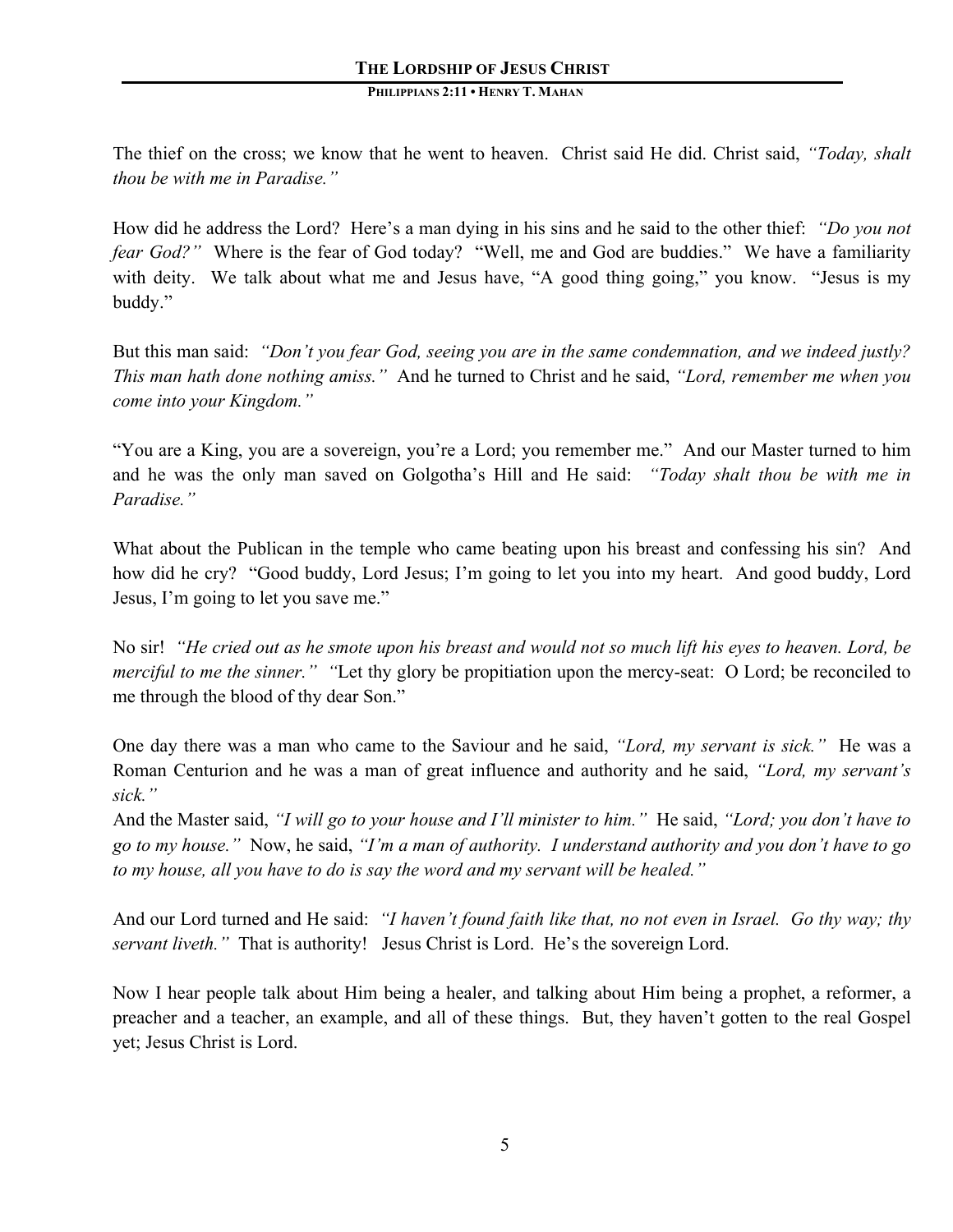The thief on the cross; we know that he went to heaven. Christ said He did. Christ said, *"Today, shalt thou be with me in Paradise."*

How did he address the Lord? Here's a man dying in his sins and he said to the other thief: *"Do you not fear God?"* Where is the fear of God today? "Well, me and God are buddies." We have a familiarity with deity. We talk about what me and Jesus have, "A good thing going," you know. "Jesus is my buddy."

But this man said: *"Don't you fear God, seeing you are in the same condemnation, and we indeed justly? This man hath done nothing amiss."* And he turned to Christ and he said, *"Lord, remember me when you come into your Kingdom."*

"You are a King, you are a sovereign, you're a Lord; you remember me."And our Master turned to him and he was the only man saved on Golgotha's Hill and He said: *"Today shalt thou be with me in Paradise."*

What about the Publican in the temple who came beating upon his breast and confessing his sin? And how did he cry? "Good buddy, Lord Jesus; I'm going to let you into my heart. And good buddy, Lord Jesus, I'm going to let you save me."

No sir! *"He cried out as he smote upon his breast and would not so much lift his eyes to heaven. Lord, be merciful to me the sinner.*" "Let thy glory be propitiation upon the mercy-seat: O Lord; be reconciled to me through the blood of thy dear Son."

One day there was a man who came to the Saviour and he said, *"Lord, my servant is sick."* He was a Roman Centurion and he was a man of great influence and authority and he said, *"Lord, my servant's sick."*

And the Master said, *"I will go to your house and I'll minister to him."* He said, *"Lord; you don't have to go to my house."* Now, he said, *"I'm a man of authority. I understand authority and you don't have to go to my house, all you have to do is say the word and my servant will be healed."* 

And our Lord turned and He said: *"I haven't found faith like that, no not even in Israel. Go thy way; thy servant liveth."* That is authority! Jesus Christ is Lord. He's the sovereign Lord.

Now I hear people talk about Him being a healer, and talking about Him being a prophet, a reformer, a preacher and a teacher, an example, and all of these things. But, they haven't gotten to the real Gospel yet; Jesus Christ is Lord.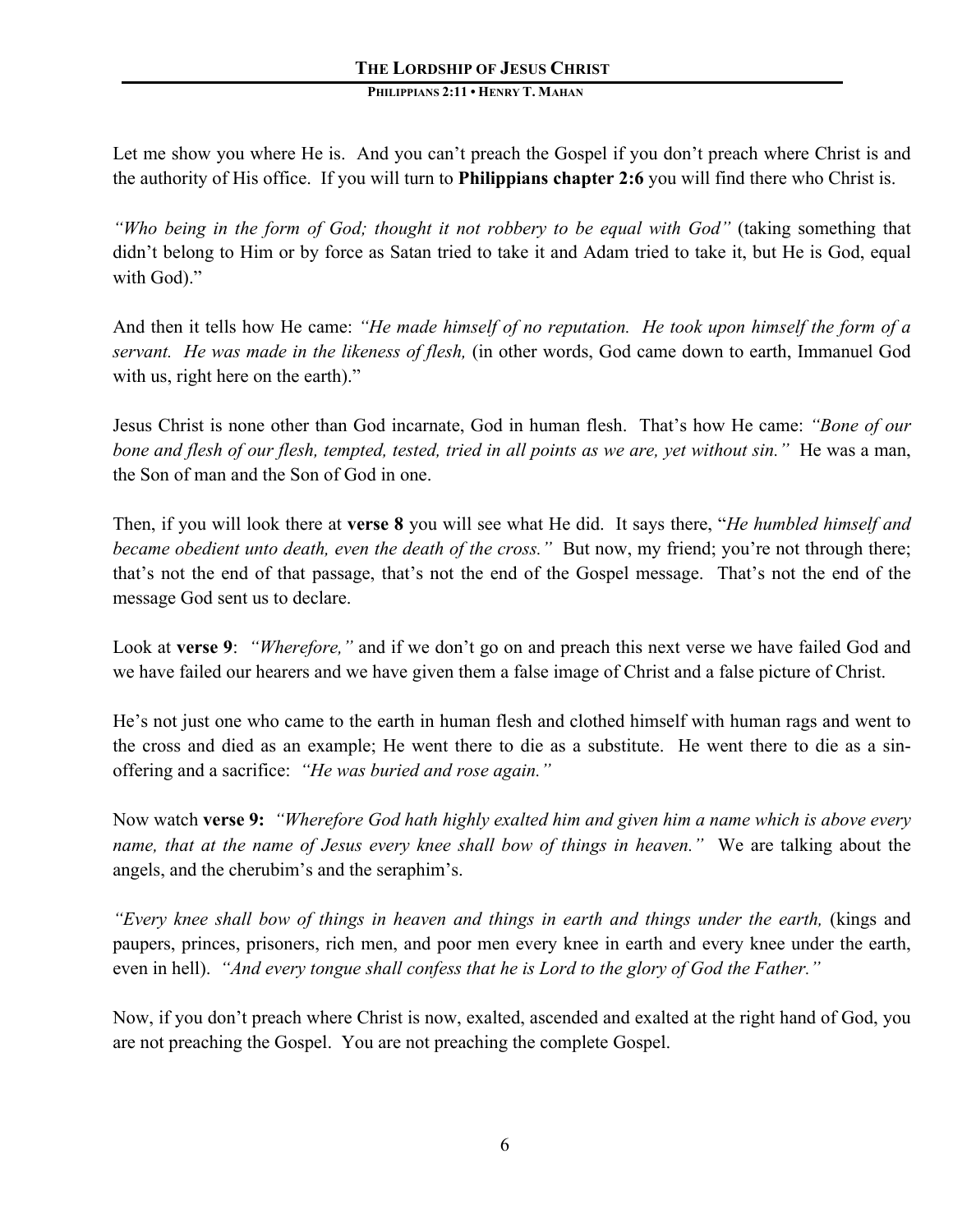Let me show you where He is. And you can't preach the Gospel if you don't preach where Christ is and the authority of His office. If you will turn to **Philippians chapter 2:6** you will find there who Christ is.

*"Who being in the form of God; thought it not robbery to be equal with God"* (taking something that didn't belong to Him or by force as Satan tried to take it and Adam tried to take it, but He is God, equal with God)."

And then it tells how He came: *"He made himself of no reputation. He took upon himself the form of a servant. He was made in the likeness of flesh,* (in other words, God came down to earth, Immanuel God with us, right here on the earth)."

Jesus Christ is none other than God incarnate, God in human flesh. That's how He came: *"Bone of our bone and flesh of our flesh, tempted, tested, tried in all points as we are, yet without sin."* He was a man, the Son of man and the Son of God in one.

Then, if you will look there at **verse 8** you will see what He did. It says there, "*He humbled himself and became obedient unto death, even the death of the cross."* But now, my friend; you're not through there; that's not the end of that passage, that's not the end of the Gospel message. That's not the end of the message God sent us to declare.

Look at **verse 9**: *"Wherefore,"* and if we don't go on and preach this next verse we have failed God and we have failed our hearers and we have given them a false image of Christ and a false picture of Christ.

He's not just one who came to the earth in human flesh and clothed himself with human rags and went to the cross and died as an example; He went there to die as a substitute. He went there to die as a sinoffering and a sacrifice: *"He was buried and rose again."*

Now watch **verse 9:** *"Wherefore God hath highly exalted him and given him a name which is above every name, that at the name of Jesus every knee shall bow of things in heaven."* We are talking about the angels, and the cherubim's and the seraphim's.

*"Every knee shall bow of things in heaven and things in earth and things under the earth,* (kings and paupers, princes, prisoners, rich men, and poor men every knee in earth and every knee under the earth, even in hell). *"And every tongue shall confess that he is Lord to the glory of God the Father."*

Now, if you don't preach where Christ is now, exalted, ascended and exalted at the right hand of God, you are not preaching the Gospel. You are not preaching the complete Gospel.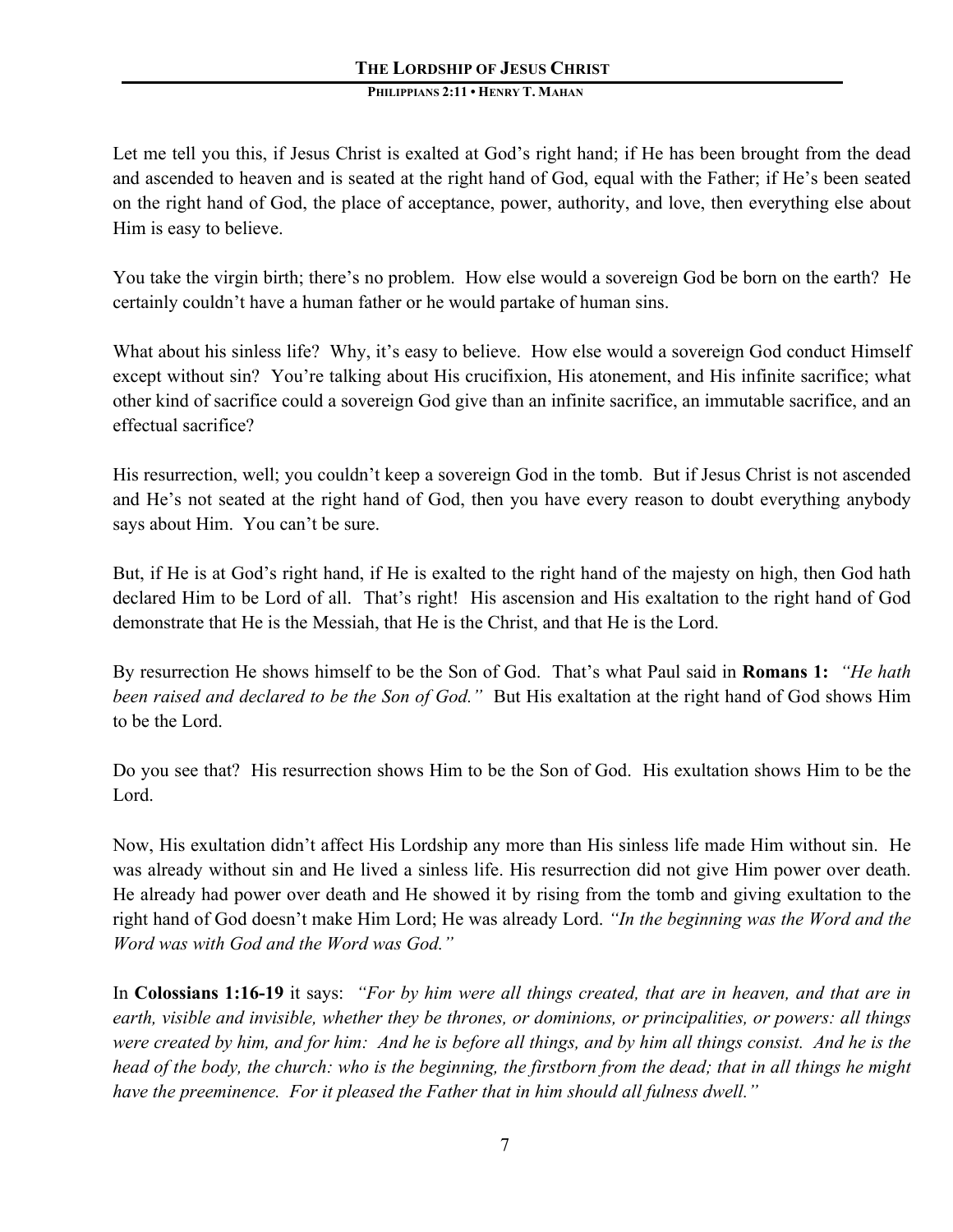Let me tell you this, if Jesus Christ is exalted at God's right hand; if He has been brought from the dead and ascended to heaven and is seated at the right hand of God, equal with the Father; if He's been seated on the right hand of God, the place of acceptance, power, authority, and love, then everything else about Him is easy to believe.

You take the virgin birth; there's no problem. How else would a sovereign God be born on the earth? He certainly couldn't have a human father or he would partake of human sins.

What about his sinless life? Why, it's easy to believe. How else would a sovereign God conduct Himself except without sin? You're talking about His crucifixion, His atonement, and His infinite sacrifice; what other kind of sacrifice could a sovereign God give than an infinite sacrifice, an immutable sacrifice, and an effectual sacrifice?

His resurrection, well; you couldn't keep a sovereign God in the tomb. But if Jesus Christ is not ascended and He's not seated at the right hand of God, then you have every reason to doubt everything anybody says about Him. You can't be sure.

But, if He is at God's right hand, if He is exalted to the right hand of the majesty on high, then God hath declared Him to be Lord of all. That's right! His ascension and His exaltation to the right hand of God demonstrate that He is the Messiah, that He is the Christ, and that He is the Lord.

By resurrection He shows himself to be the Son of God. That's what Paul said in **Romans 1:** *"He hath been raised and declared to be the Son of God."* But His exaltation at the right hand of God shows Him to be the Lord.

Do you see that? His resurrection shows Him to be the Son of God. His exultation shows Him to be the Lord.

Now, His exultation didn't affect His Lordship any more than His sinless life made Him without sin. He was already without sin and He lived a sinless life. His resurrection did not give Him power over death. He already had power over death and He showed it by rising from the tomb and giving exultation to the right hand of God doesn't make Him Lord; He was already Lord. *"In the beginning was the Word and the Word was with God and the Word was God."*

In **Colossians 1:16-19** it says: *"For by him were all things created, that are in heaven, and that are in earth, visible and invisible, whether they be thrones, or dominions, or principalities, or powers: all things were created by him, and for him: And he is before all things, and by him all things consist. And he is the head of the body, the church: who is the beginning, the firstborn from the dead; that in all things he might have the preeminence. For it pleased the Father that in him should all fulness dwell."*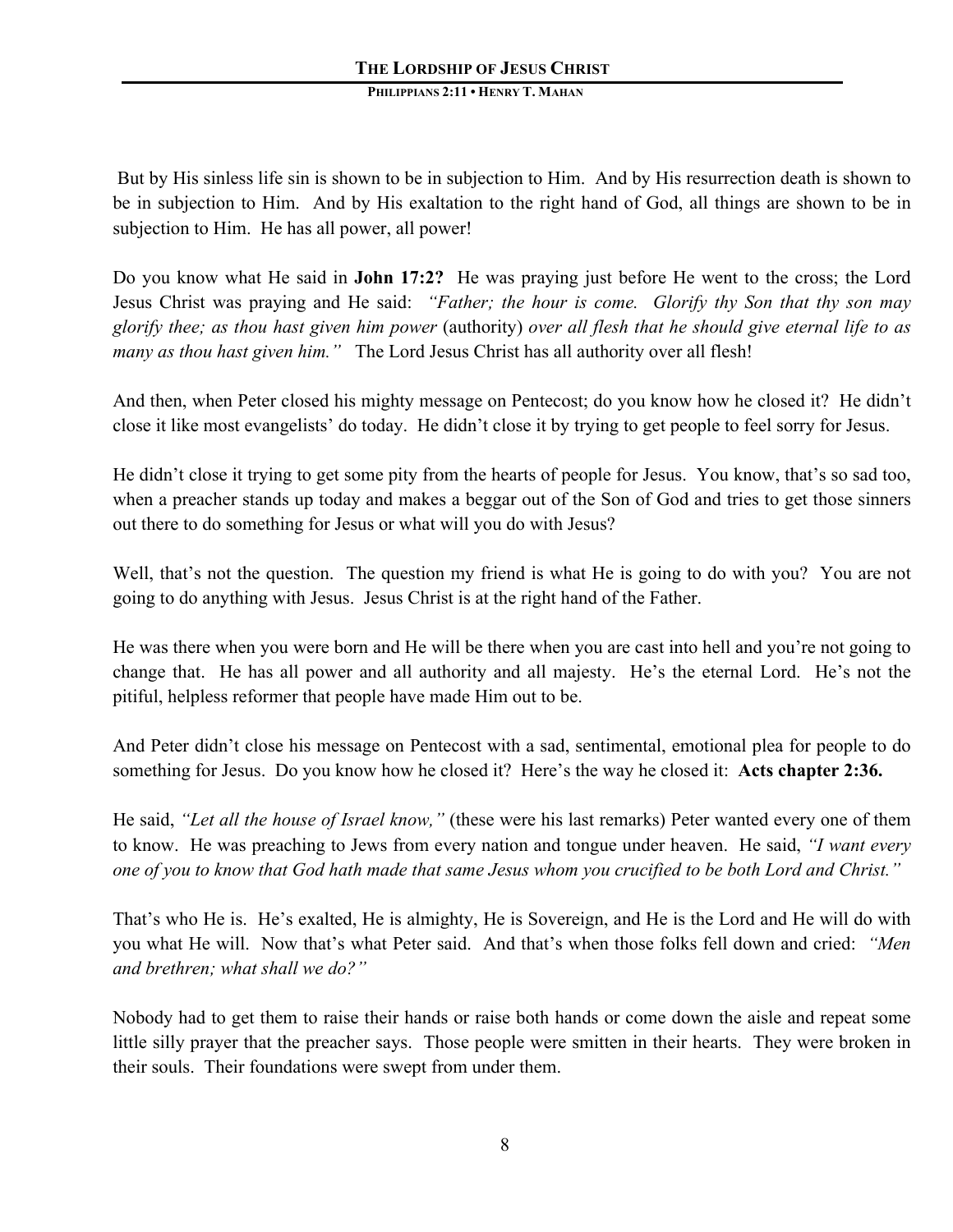But by His sinless life sin is shown to be in subjection to Him. And by His resurrection death is shown to be in subjection to Him. And by His exaltation to the right hand of God, all things are shown to be in subjection to Him. He has all power, all power!

Do you know what He said in **John 17:2?** He was praying just before He went to the cross; the Lord Jesus Christ was praying and He said: *"Father; the hour is come. Glorify thy Son that thy son may glorify thee; as thou hast given him power* (authority) *over all flesh that he should give eternal life to as many as thou hast given him."* The Lord Jesus Christ has all authority over all flesh!

And then, when Peter closed his mighty message on Pentecost; do you know how he closed it? He didn't close it like most evangelists' do today. He didn't close it by trying to get people to feel sorry for Jesus.

He didn't close it trying to get some pity from the hearts of people for Jesus. You know, that's so sad too, when a preacher stands up today and makes a beggar out of the Son of God and tries to get those sinners out there to do something for Jesus or what will you do with Jesus?

Well, that's not the question. The question my friend is what He is going to do with you? You are not going to do anything with Jesus. Jesus Christ is at the right hand of the Father.

He was there when you were born and He will be there when you are cast into hell and you're not going to change that. He has all power and all authority and all majesty. He's the eternal Lord. He's not the pitiful, helpless reformer that people have made Him out to be.

And Peter didn't close his message on Pentecost with a sad, sentimental, emotional plea for people to do something for Jesus. Do you know how he closed it? Here's the way he closed it: **Acts chapter 2:36.**

He said, *"Let all the house of Israel know,"* (these were his last remarks) Peter wanted every one of them to know. He was preaching to Jews from every nation and tongue under heaven. He said, *"I want every one of you to know that God hath made that same Jesus whom you crucified to be both Lord and Christ."*

That's who He is. He's exalted, He is almighty, He is Sovereign, and He is the Lord and He will do with you what He will. Now that's what Peter said. And that's when those folks fell down and cried: *"Men and brethren; what shall we do?"*

Nobody had to get them to raise their hands or raise both hands or come down the aisle and repeat some little silly prayer that the preacher says. Those people were smitten in their hearts. They were broken in their souls. Their foundations were swept from under them.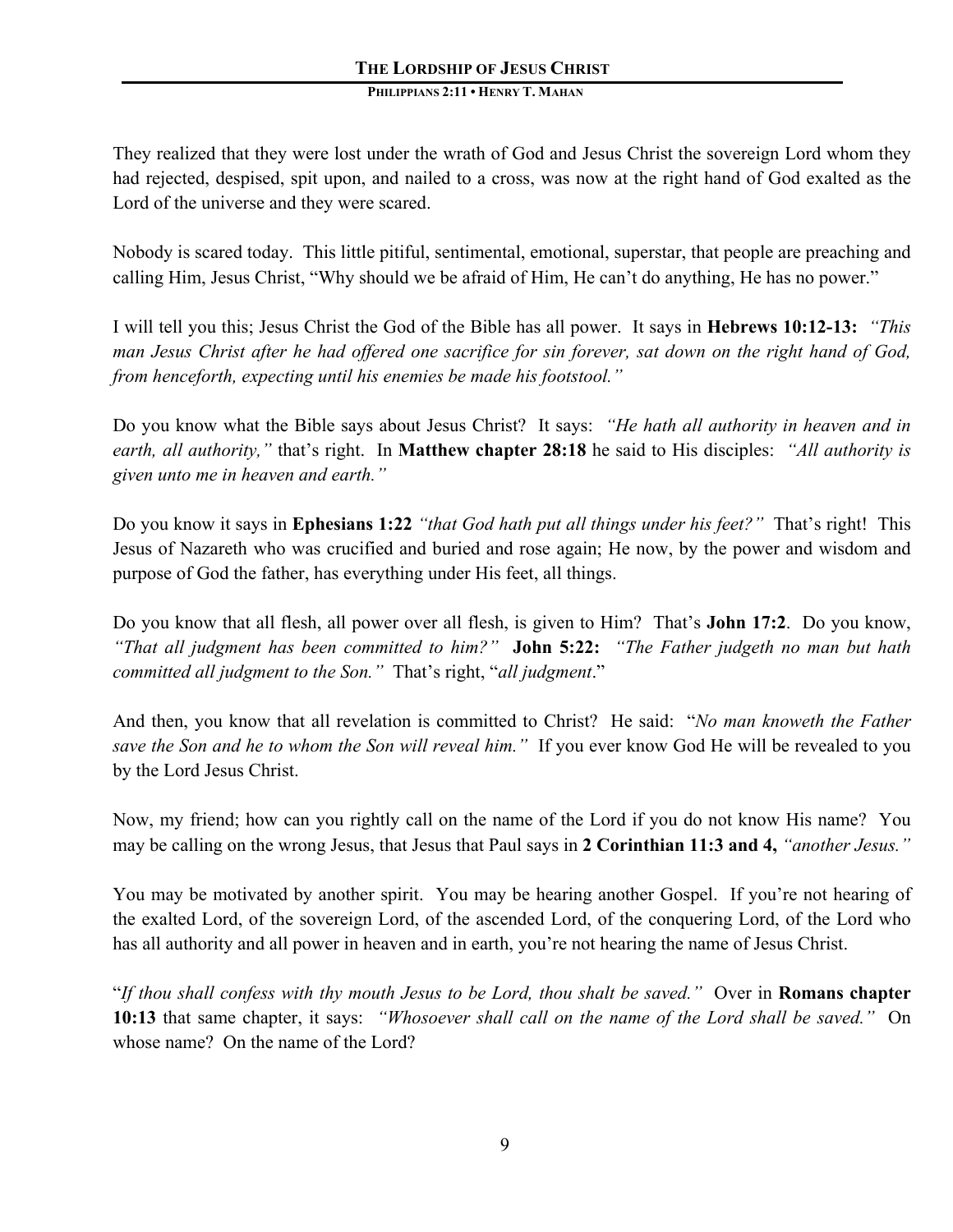They realized that they were lost under the wrath of God and Jesus Christ the sovereign Lord whom they had rejected, despised, spit upon, and nailed to a cross, was now at the right hand of God exalted as the Lord of the universe and they were scared.

Nobody is scared today. This little pitiful, sentimental, emotional, superstar, that people are preaching and calling Him, Jesus Christ, "Why should we be afraid of Him, He can't do anything, He has no power."

I will tell you this; Jesus Christ the God of the Bible has all power. It says in **Hebrews 10:12-13:** *"This man Jesus Christ after he had offered one sacrifice for sin forever, sat down on the right hand of God, from henceforth, expecting until his enemies be made his footstool."*

Do you know what the Bible says about Jesus Christ? It says: *"He hath all authority in heaven and in earth, all authority,"* that's right. In **Matthew chapter 28:18** he said to His disciples: *"All authority is given unto me in heaven and earth."*

Do you know it says in **Ephesians 1:22** *"that God hath put all things under his feet?"* That's right! This Jesus of Nazareth who was crucified and buried and rose again; He now, by the power and wisdom and purpose of God the father, has everything under His feet, all things.

Do you know that all flesh, all power over all flesh, is given to Him? That's **John 17:2**. Do you know, *"That all judgment has been committed to him?"* **John 5:22:** *"The Father judgeth no man but hath committed all judgment to the Son."* That's right, "*all judgment*."

And then, you know that all revelation is committed to Christ? He said: "*No man knoweth the Father save the Son and he to whom the Son will reveal him."* If you ever know God He will be revealed to you by the Lord Jesus Christ.

Now, my friend; how can you rightly call on the name of the Lord if you do not know His name? You may be calling on the wrong Jesus, that Jesus that Paul says in **2 Corinthian 11:3 and 4,** *"another Jesus."*

You may be motivated by another spirit. You may be hearing another Gospel. If you're not hearing of the exalted Lord, of the sovereign Lord, of the ascended Lord, of the conquering Lord, of the Lord who has all authority and all power in heaven and in earth, you're not hearing the name of Jesus Christ.

"*If thou shall confess with thy mouth Jesus to be Lord, thou shalt be saved."* Over in **Romans chapter 10:13** that same chapter, it says: *"Whosoever shall call on the name of the Lord shall be saved."* On whose name? On the name of the Lord?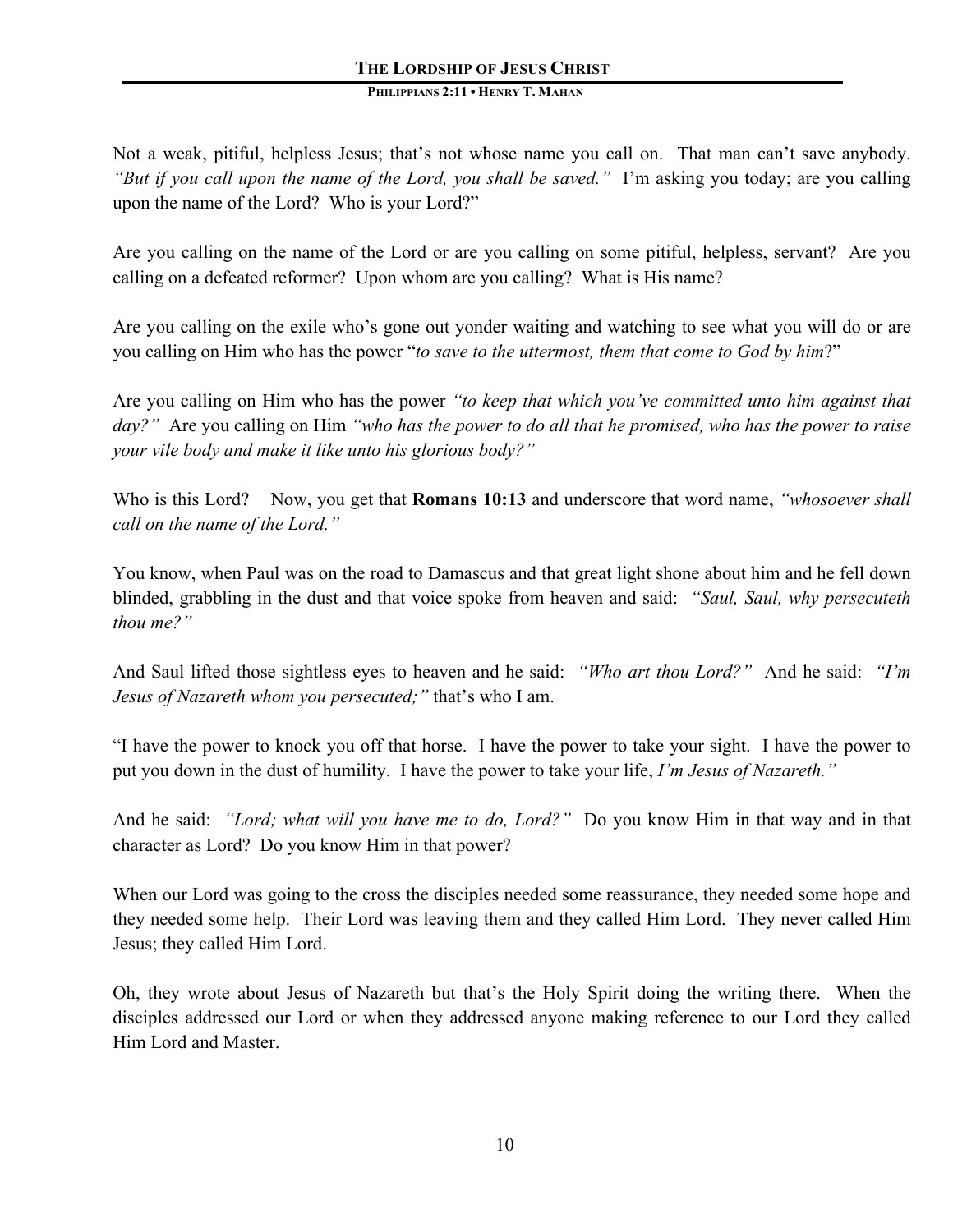Not a weak, pitiful, helpless Jesus; that's not whose name you call on. That man can't save anybody. *"But if you call upon the name of the Lord, you shall be saved."* I'm asking you today; are you calling upon the name of the Lord? Who is your Lord?"

Are you calling on the name of the Lord or are you calling on some pitiful, helpless, servant? Are you calling on a defeated reformer? Upon whom are you calling? What is His name?

Are you calling on the exile who's gone out yonder waiting and watching to see what you will do or are you calling on Him who has the power "*to save to the uttermost, them that come to God by him*?"

Are you calling on Him who has the power *"to keep that which you've committed unto him against that day?"* Are you calling on Him *"who has the power to do all that he promised, who has the power to raise your vile body and make it like unto his glorious body?"*

Who is this Lord? Now, you get that **Romans 10:13** and underscore that word name, *"whosoever shall*" *call on the name of the Lord."*

You know, when Paul was on the road to Damascus and that great light shone about him and he fell down blinded, grabbling in the dust and that voice spoke from heaven and said: *"Saul, Saul, why persecuteth thou me?"* 

And Saul lifted those sightless eyes to heaven and he said: *"Who art thou Lord?"* And he said: *"I'm Jesus of Nazareth whom you persecuted;"* that's who I am.

"I have the power to knock you off that horse. I have the power to take your sight. I have the power to put you down in the dust of humility. I have the power to take your life, *I'm Jesus of Nazareth."* 

And he said: *"Lord; what will you have me to do, Lord?"* Do you know Him in that way and in that character as Lord? Do you know Him in that power?

When our Lord was going to the cross the disciples needed some reassurance, they needed some hope and they needed some help. Their Lord was leaving them and they called Him Lord. They never called Him Jesus; they called Him Lord.

Oh, they wrote about Jesus of Nazareth but that's the Holy Spirit doing the writing there. When the disciples addressed our Lord or when they addressed anyone making reference to our Lord they called Him Lord and Master.